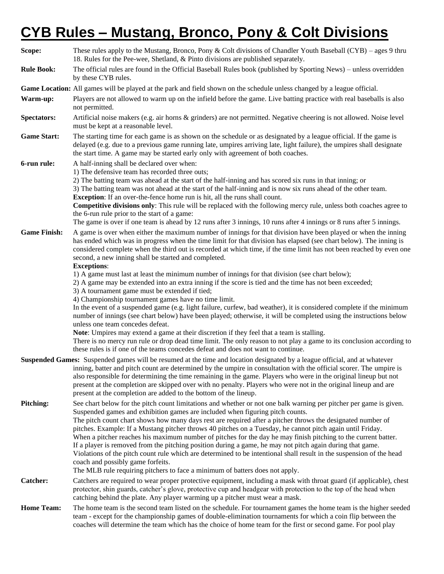# **CYB Rules – Mustang, Bronco, Pony & Colt Divisions**

| Scope:              | These rules apply to the Mustang, Bronco, Pony & Colt divisions of Chandler Youth Baseball (CYB) – ages 9 thru<br>18. Rules for the Pee-wee, Shetland, & Pinto divisions are published separately.                                                                                                                                                                                                                                                                                                                                                                                                                                                                                                                                                                                                                                                                                                           |  |  |  |  |  |  |
|---------------------|--------------------------------------------------------------------------------------------------------------------------------------------------------------------------------------------------------------------------------------------------------------------------------------------------------------------------------------------------------------------------------------------------------------------------------------------------------------------------------------------------------------------------------------------------------------------------------------------------------------------------------------------------------------------------------------------------------------------------------------------------------------------------------------------------------------------------------------------------------------------------------------------------------------|--|--|--|--|--|--|
| <b>Rule Book:</b>   | The official rules are found in the Official Baseball Rules book (published by Sporting News) – unless overridden<br>by these CYB rules.                                                                                                                                                                                                                                                                                                                                                                                                                                                                                                                                                                                                                                                                                                                                                                     |  |  |  |  |  |  |
|                     | Game Location: All games will be played at the park and field shown on the schedule unless changed by a league official.                                                                                                                                                                                                                                                                                                                                                                                                                                                                                                                                                                                                                                                                                                                                                                                     |  |  |  |  |  |  |
| Warm-up:            | Players are not allowed to warm up on the infield before the game. Live batting practice with real baseballs is also<br>not permitted.                                                                                                                                                                                                                                                                                                                                                                                                                                                                                                                                                                                                                                                                                                                                                                       |  |  |  |  |  |  |
| <b>Spectators:</b>  | Artificial noise makers (e.g. air horns & grinders) are not permitted. Negative cheering is not allowed. Noise level<br>must be kept at a reasonable level.                                                                                                                                                                                                                                                                                                                                                                                                                                                                                                                                                                                                                                                                                                                                                  |  |  |  |  |  |  |
| <b>Game Start:</b>  | The starting time for each game is as shown on the schedule or as designated by a league official. If the game is<br>delayed (e.g. due to a previous game running late, umpires arriving late, light failure), the umpires shall designate<br>the start time. A game may be started early only with agreement of both coaches.                                                                                                                                                                                                                                                                                                                                                                                                                                                                                                                                                                               |  |  |  |  |  |  |
| 6-run rule:         | A half-inning shall be declared over when:                                                                                                                                                                                                                                                                                                                                                                                                                                                                                                                                                                                                                                                                                                                                                                                                                                                                   |  |  |  |  |  |  |
|                     | 1) The defensive team has recorded three outs;<br>2) The batting team was ahead at the start of the half-inning and has scored six runs in that inning; or<br>3) The batting team was not ahead at the start of the half-inning and is now six runs ahead of the other team.<br><b>Exception</b> : If an over-the-fence home run is hit, all the runs shall count.<br>Competitive divisions only: This rule will be replaced with the following mercy rule, unless both coaches agree to<br>the 6-run rule prior to the start of a game:                                                                                                                                                                                                                                                                                                                                                                     |  |  |  |  |  |  |
|                     | The game is over if one team is ahead by 12 runs after 3 innings, 10 runs after 4 innings or 8 runs after 5 innings.                                                                                                                                                                                                                                                                                                                                                                                                                                                                                                                                                                                                                                                                                                                                                                                         |  |  |  |  |  |  |
| <b>Game Finish:</b> | A game is over when either the maximum number of innings for that division have been played or when the inning<br>has ended which was in progress when the time limit for that division has elapsed (see chart below). The inning is<br>considered complete when the third out is recorded at which time, if the time limit has not been reached by even one<br>second, a new inning shall be started and completed.<br><b>Exceptions:</b>                                                                                                                                                                                                                                                                                                                                                                                                                                                                   |  |  |  |  |  |  |
|                     | 1) A game must last at least the minimum number of innings for that division (see chart below);<br>2) A game may be extended into an extra inning if the score is tied and the time has not been exceeded;<br>3) A tournament game must be extended if tied;<br>4) Championship tournament games have no time limit.<br>In the event of a suspended game (e.g. light failure, curfew, bad weather), it is considered complete if the minimum<br>number of innings (see chart below) have been played; otherwise, it will be completed using the instructions below<br>unless one team concedes defeat.<br>Note: Umpires may extend a game at their discretion if they feel that a team is stalling.<br>There is no mercy run rule or drop dead time limit. The only reason to not play a game to its conclusion according to                                                                                 |  |  |  |  |  |  |
|                     | these rules is if one of the teams concedes defeat and does not want to continue.                                                                                                                                                                                                                                                                                                                                                                                                                                                                                                                                                                                                                                                                                                                                                                                                                            |  |  |  |  |  |  |
|                     | Suspended Games: Suspended games will be resumed at the time and location designated by a league official, and at whatever<br>inning, batter and pitch count are determined by the umpire in consultation with the official scorer. The umpire is<br>also responsible for determining the time remaining in the game. Players who were in the original lineup but not<br>present at the completion are skipped over with no penalty. Players who were not in the original lineup and are<br>present at the completion are added to the bottom of the lineup.                                                                                                                                                                                                                                                                                                                                                 |  |  |  |  |  |  |
| Pitching:           | See chart below for the pitch count limitations and whether or not one balk warning per pitcher per game is given.<br>Suspended games and exhibition games are included when figuring pitch counts.<br>The pitch count chart shows how many days rest are required after a pitcher throws the designated number of<br>pitches. Example: If a Mustang pitcher throws 40 pitches on a Tuesday, he cannot pitch again until Friday.<br>When a pitcher reaches his maximum number of pitches for the day he may finish pitching to the current batter.<br>If a player is removed from the pitching position during a game, he may not pitch again during that game.<br>Violations of the pitch count rule which are determined to be intentional shall result in the suspension of the head<br>coach and possibly game forfeits.<br>The MLB rule requiring pitchers to face a minimum of batters does not apply. |  |  |  |  |  |  |
| <b>Catcher:</b>     | Catchers are required to wear proper protective equipment, including a mask with throat guard (if applicable), chest<br>protector, shin guards, catcher's glove, protective cup and headgear with protection to the top of the head when<br>catching behind the plate. Any player warming up a pitcher must wear a mask.                                                                                                                                                                                                                                                                                                                                                                                                                                                                                                                                                                                     |  |  |  |  |  |  |
| <b>Home Team:</b>   | The home team is the second team listed on the schedule. For tournament games the home team is the higher seeded<br>team - except for the championship games of double-elimination tournaments for which a coin flip between the<br>coaches will determine the team which has the choice of home team for the first or second game. For pool play                                                                                                                                                                                                                                                                                                                                                                                                                                                                                                                                                            |  |  |  |  |  |  |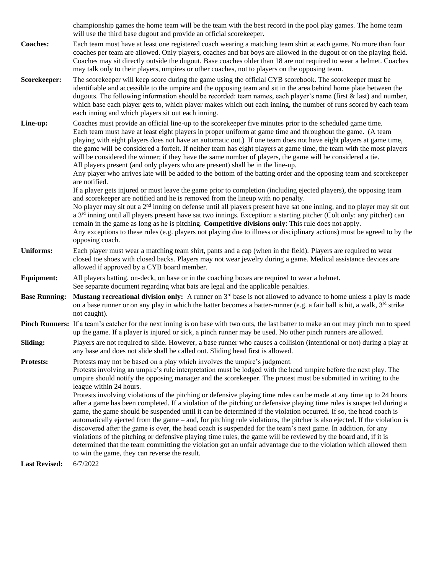championship games the home team will be the team with the best record in the pool play games. The home team will use the third base dugout and provide an official scorekeeper.

- **Coaches:** Each team must have at least one registered coach wearing a matching team shirt at each game. No more than four coaches per team are allowed. Only players, coaches and bat boys are allowed in the dugout or on the playing field. Coaches may sit directly outside the dugout. Base coaches older than 18 are not required to wear a helmet. Coaches may talk only to their players, umpires or other coaches, not to players on the opposing team.
- **Scorekeeper:** The scorekeeper will keep score during the game using the official CYB scorebook. The scorekeeper must be identifiable and accessible to the umpire and the opposing team and sit in the area behind home plate between the dugouts. The following information should be recorded: team names, each player's name (first & last) and number, which base each player gets to, which player makes which out each inning, the number of runs scored by each team each inning and which players sit out each inning.

Line-up: Coaches must provide an official line-up to the scorekeeper five minutes prior to the scheduled game time. Each team must have at least eight players in proper uniform at game time and throughout the game. (A team playing with eight players does not have an automatic out.) If one team does not have eight players at game time, the game will be considered a forfeit. If neither team has eight players at game time, the team with the most players will be considered the winner; if they have the same number of players, the game will be considered a tie. All players present (and only players who are present) shall be in the line-up.

> Any player who arrives late will be added to the bottom of the batting order and the opposing team and scorekeeper are notified.

If a player gets injured or must leave the game prior to completion (including ejected players), the opposing team and scorekeeper are notified and he is removed from the lineup with no penalty.

No player may sit out a 2<sup>nd</sup> inning on defense until all players present have sat one inning, and no player may sit out a 3<sup>rd</sup> inning until all players present have sat two innings. Exception: a starting pitcher (Colt only: any pitcher) can remain in the game as long as he is pitching. **Competitive divisions only**: This rule does not apply. Any exceptions to these rules (e.g. players not playing due to illness or disciplinary actions) must be agreed to by the

### **Uniforms:** Each player must wear a matching team shirt, pants and a cap (when in the field). Players are required to wear closed toe shoes with closed backs. Players may not wear jewelry during a game. Medical assistance devices are allowed if approved by a CYB board member.

#### **Equipment:** All players batting, on-deck, on base or in the coaching boxes are required to wear a helmet. See separate document regarding what bats are legal and the applicable penalties.

**Base Running:** Mustang recreational division only: A runner on 3<sup>rd</sup> base is not allowed to advance to home unless a play is made on a base runner or on any play in which the batter becomes a batter-runner (e.g. a fair ball is hit, a walk,  $3<sup>rd</sup>$  strike not caught).

## **Pinch Runners:** If a team's catcher for the next inning is on base with two outs, the last batter to make an out may pinch run to speed up the game. If a player is injured or sick, a pinch runner may be used. No other pinch runners are allowed.

#### **Sliding:** Players are not required to slide. However, a base runner who causes a collision (intentional or not) during a play at any base and does not slide shall be called out. Sliding head first is allowed.

#### **Protests:** Protests may not be based on a play which involves the umpire's judgment. Protests involving an umpire's rule interpretation must be lodged with the head umpire before the next play. The

umpire should notify the opposing manager and the scorekeeper. The protest must be submitted in writing to the league within 24 hours.

Protests involving violations of the pitching or defensive playing time rules can be made at any time up to 24 hours after a game has been completed. If a violation of the pitching or defensive playing time rules is suspected during a game, the game should be suspended until it can be determined if the violation occurred. If so, the head coach is automatically ejected from the game – and, for pitching rule violations, the pitcher is also ejected. If the violation is discovered after the game is over, the head coach is suspended for the team's next game. In addition, for any violations of the pitching or defensive playing time rules, the game will be reviewed by the board and, if it is determined that the team committing the violation got an unfair advantage due to the violation which allowed them to win the game, they can reverse the result.

**Last Revised:** 6/7/2022

opposing coach.